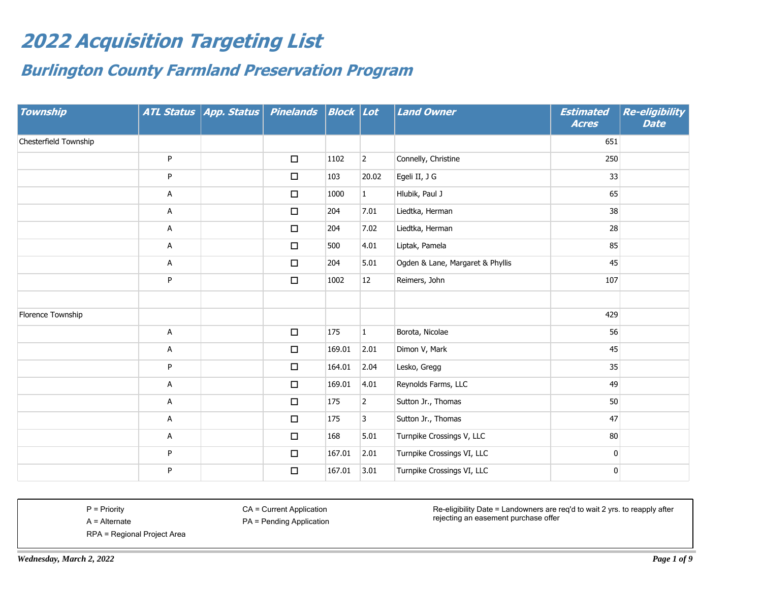## **2022 Acquisition Targeting List**

## **Burlington County Farmland Preservation Program**

| <b>Township</b>       |   | ATL Status   App. Status | <b>Pinelands</b> | $  \textit{Block}   \textit{Lot} $ |                | <b>Land Owner</b>                | <b>Estimated</b><br><b>Acres</b> | <b>Re-eligibility</b><br><b>Date</b> |
|-----------------------|---|--------------------------|------------------|------------------------------------|----------------|----------------------------------|----------------------------------|--------------------------------------|
| Chesterfield Township |   |                          |                  |                                    |                |                                  | 651                              |                                      |
|                       | P |                          | $\Box$           | 1102                               | $\overline{2}$ | Connelly, Christine              | 250                              |                                      |
|                       | P |                          | $\Box$           | 103                                | 20.02          | Egeli II, J G                    | 33                               |                                      |
|                       | A |                          | $\Box$           | 1000                               | $\mathbf{1}$   | Hlubik, Paul J                   | 65                               |                                      |
|                       | A |                          | $\Box$           | 204                                | 7.01           | Liedtka, Herman                  | 38                               |                                      |
|                       | A |                          | $\Box$           | 204                                | 7.02           | Liedtka, Herman                  | 28                               |                                      |
|                       | A |                          | $\Box$           | 500                                | 4.01           | Liptak, Pamela                   | 85                               |                                      |
|                       | A |                          | $\Box$           | 204                                | 5.01           | Ogden & Lane, Margaret & Phyllis | 45                               |                                      |
|                       | P |                          | $\Box$           | 1002                               | 12             | Reimers, John                    | 107                              |                                      |
|                       |   |                          |                  |                                    |                |                                  |                                  |                                      |
| Florence Township     |   |                          |                  |                                    |                |                                  | 429                              |                                      |
|                       | Α |                          | $\Box$           | 175                                | $\mathbf{1}$   | Borota, Nicolae                  | 56                               |                                      |
|                       | Α |                          | $\Box$           | 169.01                             | 2.01           | Dimon V, Mark                    | 45                               |                                      |
|                       | P |                          | $\Box$           | 164.01                             | 2.04           | Lesko, Gregg                     | 35                               |                                      |
|                       | Α |                          | $\Box$           | 169.01                             | 4.01           | Reynolds Farms, LLC              | 49                               |                                      |
|                       | А |                          | $\Box$           | 175                                | $\overline{2}$ | Sutton Jr., Thomas               | 50                               |                                      |
|                       | Α |                          | $\Box$           | 175                                | 3              | Sutton Jr., Thomas               | 47                               |                                      |
|                       | Α |                          | $\Box$           | 168                                | 5.01           | Turnpike Crossings V, LLC        | 80                               |                                      |
|                       | P |                          | $\Box$           | 167.01                             | 2.01           | Turnpike Crossings VI, LLC       | $\mathbf 0$                      |                                      |
|                       | P |                          | $\Box$           | 167.01                             | 3.01           | Turnpike Crossings VI, LLC       | 0                                |                                      |

P = Priority A = Alternate CA = Current Application

PA = Pending Application

Re-eligibility Date = Landowners are req'd to wait 2 yrs. to reapply after rejecting an easement purchase offer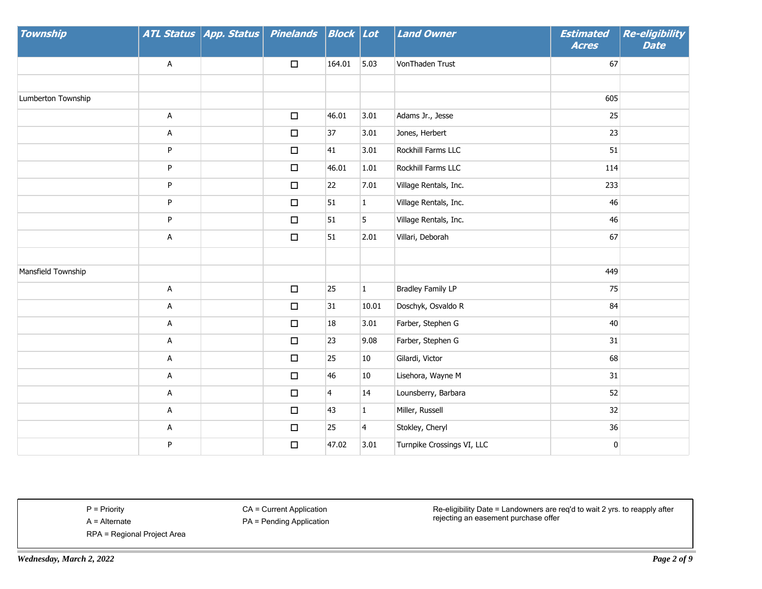| <b>Township</b>    |   | ATL Status App. Status Pinelands Block Lot |        |                |                | <b>Land Owner</b>          | <b>Estimated</b><br><b>Acres</b> | <b>Re-eligibility</b><br><b>Date</b> |
|--------------------|---|--------------------------------------------|--------|----------------|----------------|----------------------------|----------------------------------|--------------------------------------|
|                    | Α |                                            | $\Box$ | 164.01         | 5.03           | VonThaden Trust            | 67                               |                                      |
|                    |   |                                            |        |                |                |                            |                                  |                                      |
| Lumberton Township |   |                                            |        |                |                |                            | 605                              |                                      |
|                    | A |                                            | $\Box$ | 46.01          | 3.01           | Adams Jr., Jesse           | 25                               |                                      |
|                    | Α |                                            | $\Box$ | 37             | 3.01           | Jones, Herbert             | 23                               |                                      |
|                    | P |                                            | $\Box$ | 41             | 3.01           | Rockhill Farms LLC         | 51                               |                                      |
|                    | P |                                            | $\Box$ | 46.01          | 1.01           | Rockhill Farms LLC         | 114                              |                                      |
|                    | P |                                            | $\Box$ | 22             | 7.01           | Village Rentals, Inc.      | 233                              |                                      |
|                    | P |                                            | $\Box$ | 51             | $\mathbf{1}$   | Village Rentals, Inc.      | 46                               |                                      |
|                    | P |                                            | $\Box$ | 51             | 5              | Village Rentals, Inc.      | 46                               |                                      |
|                    | Α |                                            | $\Box$ | 51             | 2.01           | Villari, Deborah           | 67                               |                                      |
|                    |   |                                            |        |                |                |                            |                                  |                                      |
| Mansfield Township |   |                                            |        |                |                |                            | 449                              |                                      |
|                    | A |                                            | $\Box$ | 25             | $\mathbf 1$    | <b>Bradley Family LP</b>   | 75                               |                                      |
|                    | Α |                                            | $\Box$ | 31             | 10.01          | Doschyk, Osvaldo R         | 84                               |                                      |
|                    | Α |                                            | $\Box$ | 18             | 3.01           | Farber, Stephen G          | 40                               |                                      |
|                    | A |                                            | $\Box$ | 23             | 9.08           | Farber, Stephen G          | 31                               |                                      |
|                    | A |                                            | $\Box$ | 25             | 10             | Gilardi, Victor            | 68                               |                                      |
|                    | Α |                                            | $\Box$ | 46             | 10             | Lisehora, Wayne M          | 31                               |                                      |
|                    | Α |                                            | $\Box$ | $\overline{4}$ | 14             | Lounsberry, Barbara        | 52                               |                                      |
|                    | А |                                            | $\Box$ | 43             | $\mathbf{1}$   | Miller, Russell            | 32                               |                                      |
|                    | A |                                            | $\Box$ | 25             | $\overline{4}$ | Stokley, Cheryl            | 36                               |                                      |
|                    | P |                                            | $\Box$ | 47.02          | 3.01           | Turnpike Crossings VI, LLC | 0                                |                                      |

CA = Current Application

PA = Pending Application

RPA = Regional Project Area

Re-eligibility Date = Landowners are req'd to wait 2 yrs. to reapply after rejecting an easement purchase offer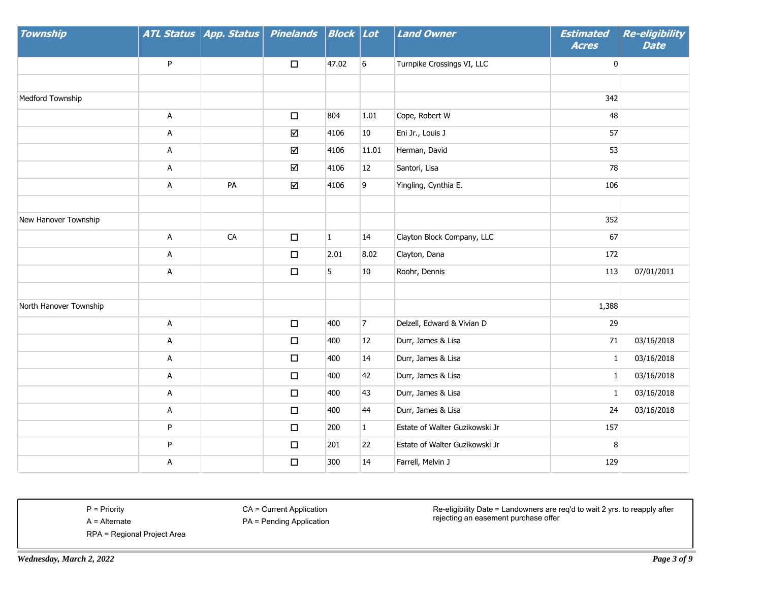| <b>Township</b>        |   | ATL Status   App. Status | <b>Pinelands</b> | Block Lot    |                | <b>Land Owner</b>              | <b>Estimated</b><br><b>Acres</b> | <b>Re-eligibility</b><br><b>Date</b> |
|------------------------|---|--------------------------|------------------|--------------|----------------|--------------------------------|----------------------------------|--------------------------------------|
|                        | P |                          | $\Box$           | 47.02        | 6              | Turnpike Crossings VI, LLC     | 0                                |                                      |
|                        |   |                          |                  |              |                |                                |                                  |                                      |
| Medford Township       |   |                          |                  |              |                |                                | 342                              |                                      |
|                        | Α |                          | $\Box$           | 804          | 1.01           | Cope, Robert W                 | 48                               |                                      |
|                        | Α |                          | $\Delta$         | 4106         | 10             | Eni Jr., Louis J               | 57                               |                                      |
|                        | Α |                          | ☑                | 4106         | 11.01          | Herman, David                  | 53                               |                                      |
|                        | A |                          | $\Delta$         | 4106         | 12             | Santori, Lisa                  | 78                               |                                      |
|                        | А | PA                       | ☑                | 4106         | 9              | Yingling, Cynthia E.           | 106                              |                                      |
|                        |   |                          |                  |              |                |                                |                                  |                                      |
| New Hanover Township   |   |                          |                  |              |                |                                | 352                              |                                      |
|                        | A | ${\sf CA}$               | $\Box$           | $\mathbf{1}$ | 14             | Clayton Block Company, LLC     | 67                               |                                      |
|                        | Α |                          | $\Box$           | 2.01         | 8.02           | Clayton, Dana                  | 172                              |                                      |
|                        | A |                          | $\Box$           | 5            | 10             | Roohr, Dennis                  | 113                              | 07/01/2011                           |
|                        |   |                          |                  |              |                |                                |                                  |                                      |
| North Hanover Township |   |                          |                  |              |                |                                | 1,388                            |                                      |
|                        | A |                          | $\Box$           | 400          | $\overline{7}$ | Delzell, Edward & Vivian D     | 29                               |                                      |
|                        | A |                          | $\Box$           | 400          | 12             | Durr, James & Lisa             | 71                               | 03/16/2018                           |
|                        | A |                          | $\Box$           | 400          | 14             | Durr, James & Lisa             | $\mathbf{1}$                     | 03/16/2018                           |
|                        | Α |                          | $\Box$           | 400          | 42             | Durr, James & Lisa             | $\mathbf{1}$                     | 03/16/2018                           |
|                        | A |                          | $\Box$           | 400          | 43             | Durr, James & Lisa             | $\mathbf{1}$                     | 03/16/2018                           |
|                        | Α |                          | $\Box$           | 400          | 44             | Durr, James & Lisa             | 24                               | 03/16/2018                           |
|                        | P |                          | $\Box$           | 200          | $\mathbf{1}$   | Estate of Walter Guzikowski Jr | 157                              |                                      |
|                        | P |                          | $\Box$           | 201          | 22             | Estate of Walter Guzikowski Jr | 8                                |                                      |
|                        | А |                          | $\Box$           | 300          | 14             | Farrell, Melvin J              | 129                              |                                      |

CA = Current Application

PA = Pending Application

Re-eligibility Date = Landowners are req'd to wait 2 yrs. to reapply after rejecting an easement purchase offer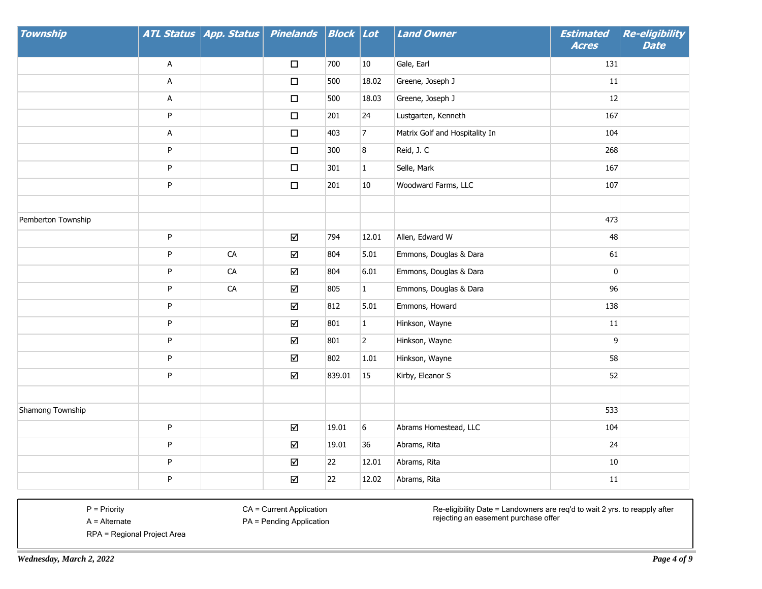| Township           |           | ATL Status   App. Status | <b>Pinelands</b>        | Block Lot |                | <b>Land Owner</b>              | <b>Estimated</b><br><b>Acres</b> | <b>Re-eligibility</b><br><b>Date</b> |
|--------------------|-----------|--------------------------|-------------------------|-----------|----------------|--------------------------------|----------------------------------|--------------------------------------|
|                    | A         |                          | $\Box$                  | 700       | $10\,$         | Gale, Earl                     | 131                              |                                      |
|                    | Α         |                          | $\Box$                  | 500       | 18.02          | Greene, Joseph J               | $11\,$                           |                                      |
|                    | Α         |                          | $\Box$                  | 500       | 18.03          | Greene, Joseph J               | 12                               |                                      |
|                    | ${\sf P}$ |                          | $\Box$                  | 201       | 24             | Lustgarten, Kenneth            | 167                              |                                      |
|                    | A         |                          | $\Box$                  | 403       | $\overline{7}$ | Matrix Golf and Hospitality In | 104                              |                                      |
|                    | P         |                          | $\Box$                  | 300       | 8              | Reid, J. C                     | 268                              |                                      |
|                    | P         |                          | $\Box$                  | 301       | $1\,$          | Selle, Mark                    | 167                              |                                      |
|                    | P         |                          | $\Box$                  | 201       | $10\,$         | Woodward Farms, LLC            | 107                              |                                      |
|                    |           |                          |                         |           |                |                                |                                  |                                      |
| Pemberton Township |           |                          |                         |           |                |                                | 473                              |                                      |
|                    | P         |                          | ☑                       | 794       | 12.01          | Allen, Edward W                | 48                               |                                      |
|                    | P         | CA                       | ☑                       | 804       | 5.01           | Emmons, Douglas & Dara         | 61                               |                                      |
|                    | ${\sf P}$ | ${\sf CA}$               | ☑                       | 804       | 6.01           | Emmons, Douglas & Dara         | $\pmb{0}$                        |                                      |
|                    | P         | ${\sf CA}$               | $\Delta$                | 805       | $\mathbf{1}$   | Emmons, Douglas & Dara         | 96                               |                                      |
|                    | P         |                          | ☑                       | 812       | 5.01           | Emmons, Howard                 | 138                              |                                      |
|                    | P         |                          | ☑                       | 801       | $\mathbf 1$    | Hinkson, Wayne                 | $11\,$                           |                                      |
|                    | P         |                          | ☑                       | 801       | $\overline{2}$ | Hinkson, Wayne                 | $\mathsf 9$                      |                                      |
|                    | P         |                          | ☑                       | 802       | 1.01           | Hinkson, Wayne                 | 58                               |                                      |
|                    | P         |                          | ☑                       | 839.01    | 15             | Kirby, Eleanor S               | 52                               |                                      |
|                    |           |                          |                         |           |                |                                |                                  |                                      |
| Shamong Township   |           |                          |                         |           |                |                                | 533                              |                                      |
|                    | $\sf P$   |                          | $\overline{\mathsf{M}}$ | 19.01     | 6              | Abrams Homestead, LLC          | 104                              |                                      |
|                    | P         |                          | ☑                       | 19.01     | 36             | Abrams, Rita                   | 24                               |                                      |
|                    | P         |                          | ☑                       | 22        | 12.01          | Abrams, Rita                   | $10\,$                           |                                      |
|                    | P         |                          | ☑                       | 22        | 12.02          | Abrams, Rita                   | $11\,$                           |                                      |

CA = Current Application

PA = Pending Application

Re-eligibility Date = Landowners are req'd to wait 2 yrs. to reapply after rejecting an easement purchase offer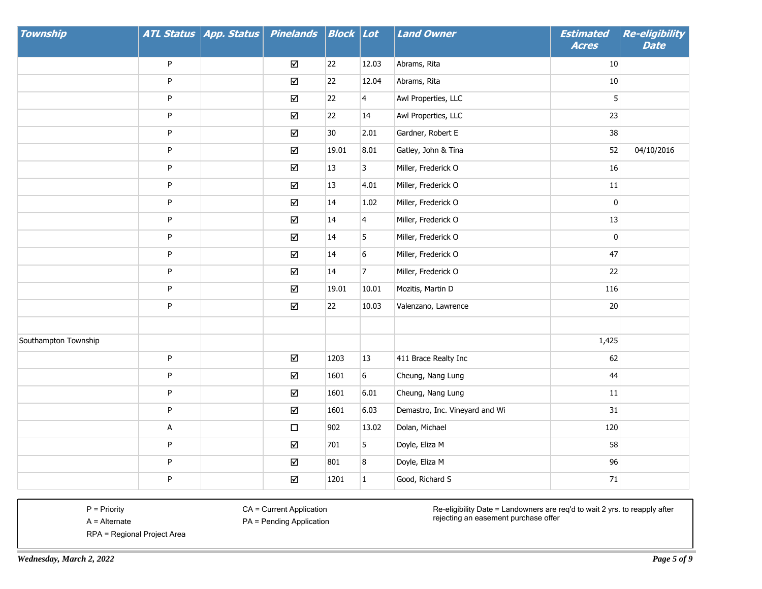| <b>Township</b>      |             | ATL Status   App. Status | <b>Pinelands</b> | Block | Lot                     | <b>Land Owner</b>              | <b>Estimated</b><br><b>Acres</b> | <b>Re-eligibility</b><br><b>Date</b> |
|----------------------|-------------|--------------------------|------------------|-------|-------------------------|--------------------------------|----------------------------------|--------------------------------------|
|                      | P           |                          | ☑                | 22    | 12.03                   | Abrams, Rita                   | 10                               |                                      |
|                      | P           |                          | ☑                | 22    | 12.04                   | Abrams, Rita                   | $10\,$                           |                                      |
|                      | P           |                          | ☑                | 22    | $\overline{\mathbf{4}}$ | Awl Properties, LLC            | 5                                |                                      |
|                      | P           |                          | ☑                | 22    | 14                      | Awl Properties, LLC            | 23                               |                                      |
|                      | ${\sf P}$   |                          | $\Delta$         | 30    | 2.01                    | Gardner, Robert E              | 38                               |                                      |
|                      | P           |                          | ☑                | 19.01 | 8.01                    | Gatley, John & Tina            | 52                               | 04/10/2016                           |
|                      | ${\sf P}$   |                          | ☑                | 13    | 3                       | Miller, Frederick O            | 16                               |                                      |
|                      | P           |                          | ☑                | 13    | 4.01                    | Miller, Frederick O            | $11\,$                           |                                      |
|                      | P           |                          | ☑                | 14    | 1.02                    | Miller, Frederick O            | $\pmb{0}$                        |                                      |
|                      | P           |                          | ☑                | 14    | $\overline{4}$          | Miller, Frederick O            | 13                               |                                      |
|                      | P           |                          | $\Delta$         | 14    | 5                       | Miller, Frederick O            | $\pmb{0}$                        |                                      |
|                      | P           |                          | ☑                | 14    | 6                       | Miller, Frederick O            | 47                               |                                      |
|                      | ${\sf P}$   |                          | ☑                | 14    | $\overline{7}$          | Miller, Frederick O            | 22                               |                                      |
|                      | P           |                          | ☑                | 19.01 | 10.01                   | Mozitis, Martin D              | 116                              |                                      |
|                      | P           |                          | ☑                | 22    | 10.03                   | Valenzano, Lawrence            | $20\,$                           |                                      |
|                      |             |                          |                  |       |                         |                                |                                  |                                      |
| Southampton Township |             |                          |                  |       |                         |                                | 1,425                            |                                      |
|                      | ${\sf P}$   |                          | $\Delta$         | 1203  | 13                      | 411 Brace Realty Inc           | 62                               |                                      |
|                      | P           |                          | ☑                | 1601  | 6                       | Cheung, Nang Lung              | 44                               |                                      |
|                      | P           |                          | ☑                | 1601  | 6.01                    | Cheung, Nang Lung              | $11\,$                           |                                      |
|                      | P           |                          | ☑                | 1601  | 6.03                    | Demastro, Inc. Vineyard and Wi | $31\,$                           |                                      |
|                      | $\mathsf A$ |                          | $\Box$           | 902   | 13.02                   | Dolan, Michael                 | 120                              |                                      |
|                      | P           |                          | ☑                | 701   | 5                       | Doyle, Eliza M                 | 58                               |                                      |
|                      | P           |                          | ☑                | 801   | 8                       | Doyle, Eliza M                 | 96                               |                                      |
|                      | P           |                          | ☑                | 1201  | $\mathbf{1}$            | Good, Richard S                | 71                               |                                      |

CA = Current Application

PA = Pending Application

Re-eligibility Date = Landowners are req'd to wait 2 yrs. to reapply after rejecting an easement purchase offer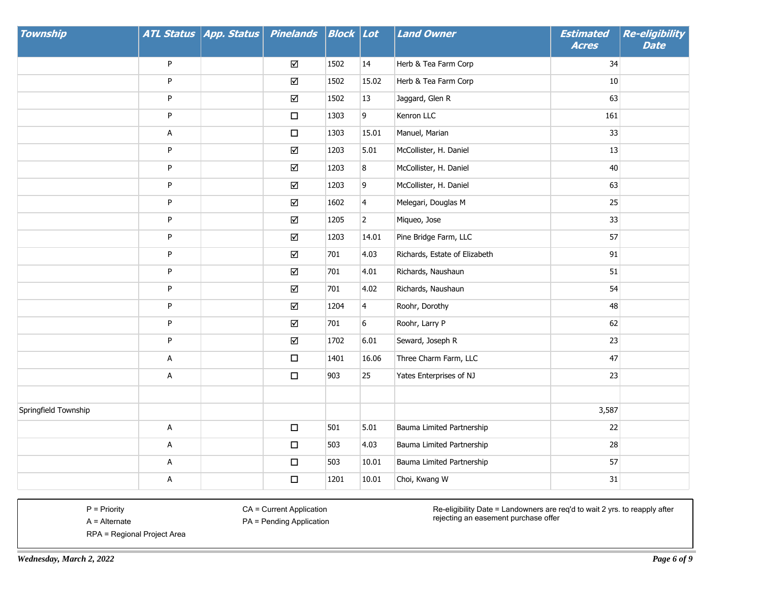| <b>Township</b>      |             | ATL Status   App. Status | <b>Pinelands</b> | <b>Block</b> Lot |                | <b>Land Owner</b>             | <b>Estimated</b><br><b>Acres</b> | Re-eligibility<br><b>Date</b> |
|----------------------|-------------|--------------------------|------------------|------------------|----------------|-------------------------------|----------------------------------|-------------------------------|
|                      | P           |                          | ☑                | 1502             | 14             | Herb & Tea Farm Corp          | 34                               |                               |
|                      | P           |                          | ☑                | 1502             | 15.02          | Herb & Tea Farm Corp          | 10                               |                               |
|                      | P           |                          | ☑                | 1502             | 13             | Jaggard, Glen R               | 63                               |                               |
|                      | P           |                          | $\Box$           | 1303             | 9              | Kenron LLC                    | 161                              |                               |
|                      | Α           |                          | $\Box$           | 1303             | 15.01          | Manuel, Marian                | 33                               |                               |
|                      | P           |                          | ☑                | 1203             | 5.01           | McCollister, H. Daniel        | 13                               |                               |
|                      | P           |                          | ☑                | 1203             | 8              | McCollister, H. Daniel        | $40\,$                           |                               |
|                      | P           |                          | ☑                | 1203             | 9              | McCollister, H. Daniel        | 63                               |                               |
|                      | P           |                          | $\Delta$         | 1602             | $\overline{4}$ | Melegari, Douglas M           | 25                               |                               |
|                      | P           |                          | ☑                | 1205             | $\overline{2}$ | Miqueo, Jose                  | 33                               |                               |
|                      | P           |                          | ☑                | 1203             | 14.01          | Pine Bridge Farm, LLC         | 57                               |                               |
|                      | P           |                          | ☑                | 701              | 4.03           | Richards, Estate of Elizabeth | 91                               |                               |
|                      | P           |                          | ☑                | 701              | 4.01           | Richards, Naushaun            | 51                               |                               |
|                      | P           |                          | ☑                | 701              | 4.02           | Richards, Naushaun            | 54                               |                               |
|                      | P           |                          | ☑                | 1204             | $\overline{4}$ | Roohr, Dorothy                | 48                               |                               |
|                      | P           |                          | ☑                | 701              | 6              | Roohr, Larry P                | 62                               |                               |
|                      | P           |                          | ☑                | 1702             | 6.01           | Seward, Joseph R              | 23                               |                               |
|                      | A           |                          | $\Box$           | 1401             | 16.06          | Three Charm Farm, LLC         | 47                               |                               |
|                      | A           |                          | $\Box$           | 903              | 25             | Yates Enterprises of NJ       | 23                               |                               |
|                      |             |                          |                  |                  |                |                               |                                  |                               |
| Springfield Township |             |                          |                  |                  |                |                               | 3,587                            |                               |
|                      | $\mathsf A$ |                          | $\Box$           | 501              | 5.01           | Bauma Limited Partnership     | 22                               |                               |
|                      | A           |                          | $\Box$           | 503              | 4.03           | Bauma Limited Partnership     | 28                               |                               |
|                      | A           |                          | $\Box$           | 503              | 10.01          | Bauma Limited Partnership     | 57                               |                               |
|                      | А           |                          | $\Box$           | 1201             | 10.01          | Choi, Kwang W                 | $31\,$                           |                               |

CA = Current Application

PA = Pending Application

Re-eligibility Date = Landowners are req'd to wait 2 yrs. to reapply after rejecting an easement purchase offer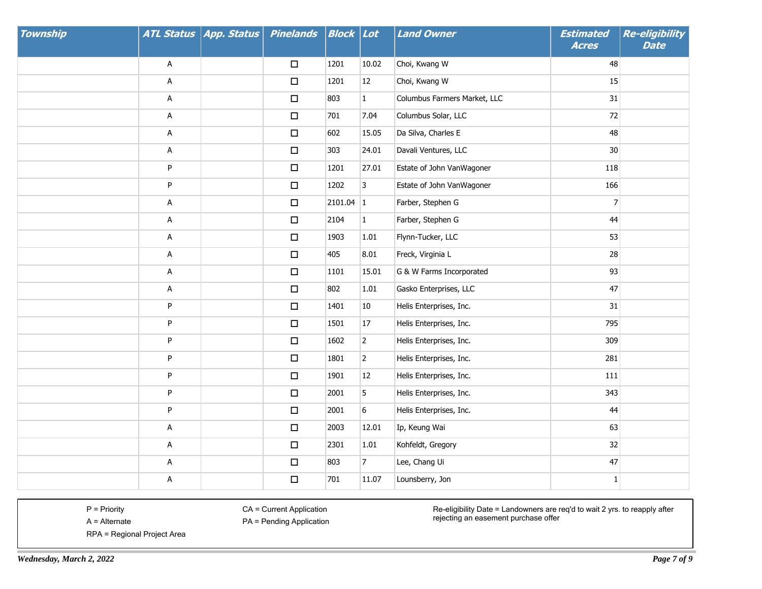| Township |   | ATL Status   App. Status | <b>Pinelands</b> | <b>Block Lot</b> |                | <b>Land Owner</b>            | <b>Estimated</b><br><b>Acres</b> | Re-eligibility<br><b>Date</b> |
|----------|---|--------------------------|------------------|------------------|----------------|------------------------------|----------------------------------|-------------------------------|
|          | A |                          | $\Box$           | 1201             | 10.02          | Choi, Kwang W                | 48                               |                               |
|          | Α |                          | $\Box$           | 1201             | 12             | Choi, Kwang W                | 15                               |                               |
|          | Α |                          | $\Box$           | 803              | $\mathbf{1}$   | Columbus Farmers Market, LLC | 31                               |                               |
|          | A |                          | $\Box$           | 701              | 7.04           | Columbus Solar, LLC          | 72                               |                               |
|          | A |                          | $\Box$           | 602              | 15.05          | Da Silva, Charles E          | 48                               |                               |
|          | A |                          | $\Box$           | 303              | 24.01          | Davali Ventures, LLC         | 30                               |                               |
|          | P |                          | $\Box$           | 1201             | 27.01          | Estate of John VanWagoner    | 118                              |                               |
|          | P |                          | $\Box$           | 1202             | 3              | Estate of John VanWagoner    | 166                              |                               |
|          | A |                          | $\Box$           | $2101.04$ 1      |                | Farber, Stephen G            | $\overline{7}$                   |                               |
|          | A |                          | $\Box$           | 2104             | $\mathbf{1}$   | Farber, Stephen G            | 44                               |                               |
|          | Α |                          | $\Box$           | 1903             | 1.01           | Flynn-Tucker, LLC            | 53                               |                               |
|          | A |                          | $\Box$           | 405              | 8.01           | Freck, Virginia L            | 28                               |                               |
|          | A |                          | $\Box$           | 1101             | 15.01          | G & W Farms Incorporated     | 93                               |                               |
|          | A |                          | $\Box$           | 802              | 1.01           | Gasko Enterprises, LLC       | 47                               |                               |
|          | P |                          | $\Box$           | 1401             | 10             | Helis Enterprises, Inc.      | 31                               |                               |
|          | P |                          | $\Box$           | 1501             | 17             | Helis Enterprises, Inc.      | 795                              |                               |
|          | P |                          | $\Box$           | 1602             | $\overline{2}$ | Helis Enterprises, Inc.      | 309                              |                               |
|          | P |                          | $\Box$           | 1801             | $\overline{2}$ | Helis Enterprises, Inc.      | 281                              |                               |
|          | P |                          | $\Box$           | 1901             | $12\,$         | Helis Enterprises, Inc.      | 111                              |                               |
|          | P |                          | $\Box$           | 2001             | 5              | Helis Enterprises, Inc.      | 343                              |                               |
|          | P |                          | $\Box$           | 2001             | 6              | Helis Enterprises, Inc.      | 44                               |                               |
|          | A |                          | $\Box$           | 2003             | 12.01          | Ip, Keung Wai                | 63                               |                               |
|          | Α |                          | $\Box$           | 2301             | $1.01\,$       | Kohfeldt, Gregory            | 32                               |                               |
|          | A |                          | $\Box$           | 803              | $\overline{7}$ | Lee, Chang Ui                | 47                               |                               |
|          | Α |                          | $\Box$           | 701              | 11.07          | Lounsberry, Jon              | $\mathbf{1}$                     |                               |

CA = Current Application

PA = Pending Application

Re-eligibility Date = Landowners are req'd to wait 2 yrs. to reapply after rejecting an easement purchase offer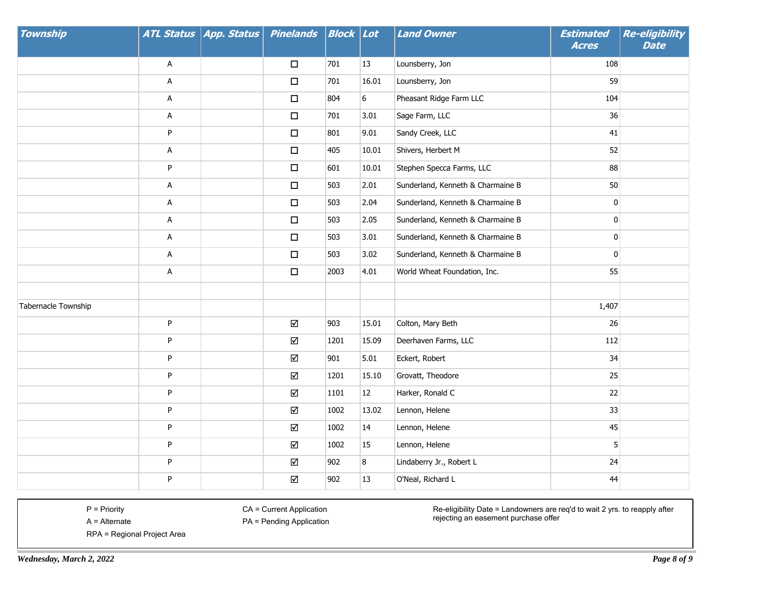| <b>Township</b>     |   | ATL Status   App. Status | <b>Pinelands</b> | <b>Block</b> Lot |       | <b>Land Owner</b>                 | <b>Estimated</b><br><b>Acres</b> | <b>Re-eligibility</b><br><b>Date</b> |
|---------------------|---|--------------------------|------------------|------------------|-------|-----------------------------------|----------------------------------|--------------------------------------|
|                     | Α |                          | $\Box$           | 701              | 13    | Lounsberry, Jon                   | 108                              |                                      |
|                     | А |                          | $\Box$           | 701              | 16.01 | Lounsberry, Jon                   | 59                               |                                      |
|                     | Α |                          | $\Box$           | 804              | 6     | Pheasant Ridge Farm LLC           | 104                              |                                      |
|                     | A |                          | $\Box$           | 701              | 3.01  | Sage Farm, LLC                    | 36                               |                                      |
|                     | P |                          | $\Box$           | 801              | 9.01  | Sandy Creek, LLC                  | 41                               |                                      |
|                     | Α |                          | $\Box$           | 405              | 10.01 | Shivers, Herbert M                | 52                               |                                      |
|                     | P |                          | $\Box$           | 601              | 10.01 | Stephen Specca Farms, LLC         | 88                               |                                      |
|                     | A |                          | $\Box$           | 503              | 2.01  | Sunderland, Kenneth & Charmaine B | 50                               |                                      |
|                     | Α |                          | $\Box$           | 503              | 2.04  | Sunderland, Kenneth & Charmaine B | $\pmb{0}$                        |                                      |
|                     | A |                          | $\Box$           | 503              | 2.05  | Sunderland, Kenneth & Charmaine B | 0                                |                                      |
|                     | Α |                          | $\Box$           | 503              | 3.01  | Sunderland, Kenneth & Charmaine B | $\pmb{0}$                        |                                      |
|                     | А |                          | $\Box$           | 503              | 3.02  | Sunderland, Kenneth & Charmaine B | $\mathbf 0$                      |                                      |
|                     | Α |                          | $\Box$           | 2003             | 4.01  | World Wheat Foundation, Inc.      | 55                               |                                      |
|                     |   |                          |                  |                  |       |                                   |                                  |                                      |
| Tabernacle Township |   |                          |                  |                  |       |                                   | 1,407                            |                                      |
|                     | P |                          | ☑                | 903              | 15.01 | Colton, Mary Beth                 | 26                               |                                      |
|                     | P |                          | ☑                | 1201             | 15.09 | Deerhaven Farms, LLC              | 112                              |                                      |
|                     | P |                          | ☑                | 901              | 5.01  | Eckert, Robert                    | 34                               |                                      |
|                     | P |                          | ☑                | 1201             | 15.10 | Grovatt, Theodore                 | 25                               |                                      |
|                     | P |                          | ☑                | 1101             | 12    | Harker, Ronald C                  | 22                               |                                      |
|                     | P |                          | $\Delta$         | 1002             | 13.02 | Lennon, Helene                    | 33                               |                                      |
|                     | P |                          | ☑                | 1002             | 14    | Lennon, Helene                    | 45                               |                                      |
|                     | P |                          | $\Delta$         | 1002             | 15    | Lennon, Helene                    | 5                                |                                      |
|                     | P |                          | $\Delta$         | 902              | 8     | Lindaberry Jr., Robert L          | 24                               |                                      |
|                     | P |                          | $\Delta$         | 902              | 13    | O'Neal, Richard L                 | 44                               |                                      |

CA = Current Application

PA = Pending Application

Re-eligibility Date = Landowners are req'd to wait 2 yrs. to reapply after rejecting an easement purchase offer